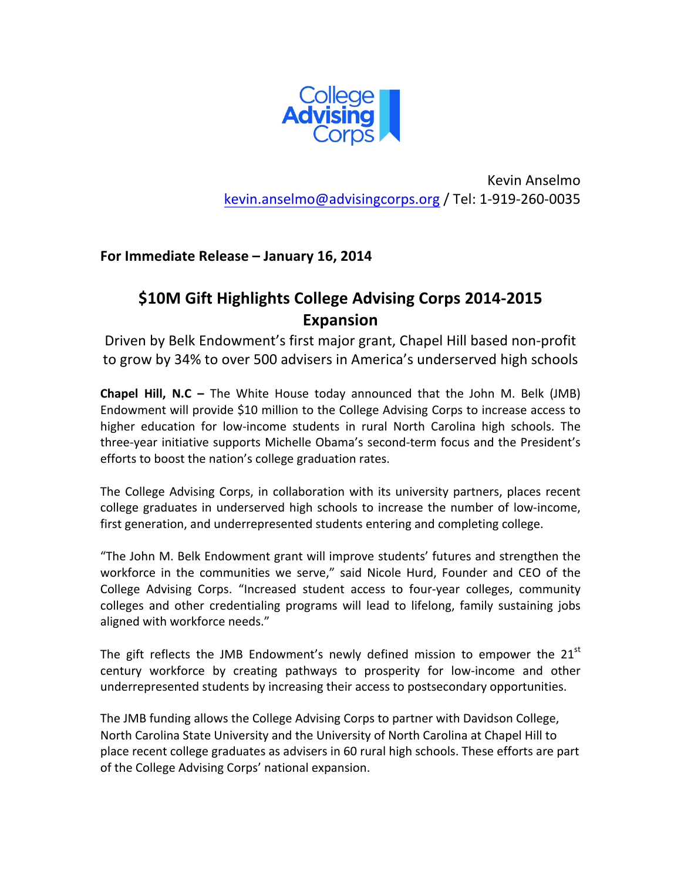

Kevin Anselmo kevin.anselmo@advisingcorps.org / Tel: 1-919-260-0035

**For Immediate Release - January 16, 2014** 

## \$10M Gift Highlights College Advising Corps 2014-2015 **Expansion**

Driven by Belk Endowment's first major grant, Chapel Hill based non-profit to grow by 34% to over 500 advisers in America's underserved high schools

**Chapel Hill, N.C** – The White House today announced that the John M. Belk (JMB) Endowment will provide \$10 million to the College Advising Corps to increase access to higher education for low-income students in rural North Carolina high schools. The three-year initiative supports Michelle Obama's second-term focus and the President's efforts to boost the nation's college graduation rates.

The College Advising Corps, in collaboration with its university partners, places recent college graduates in underserved high schools to increase the number of low-income, first generation, and underrepresented students entering and completing college.

"The John M. Belk Endowment grant will improve students' futures and strengthen the workforce in the communities we serve," said Nicole Hurd, Founder and CEO of the College Advising Corps. "Increased student access to four-year colleges, community colleges and other credentialing programs will lead to lifelong, family sustaining jobs aligned with workforce needs."

The gift reflects the JMB Endowment's newly defined mission to empower the  $21<sup>st</sup>$ century workforce by creating pathways to prosperity for low-income and other underrepresented students by increasing their access to postsecondary opportunities.

The JMB funding allows the College Advising Corps to partner with Davidson College, North Carolina State University and the University of North Carolina at Chapel Hill to place recent college graduates as advisers in 60 rural high schools. These efforts are part of the College Advising Corps' national expansion.